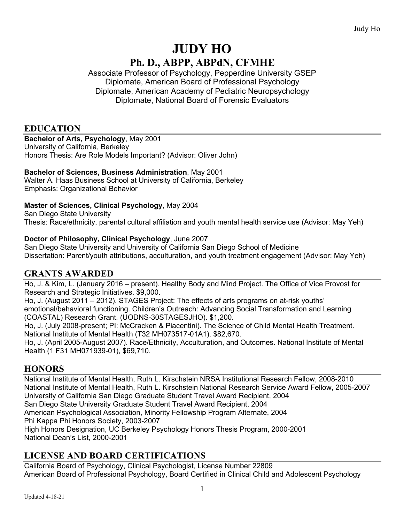# **JUDY HO Ph. D., ABPP, ABPdN, CFMHE**

Associate Professor of Psychology, Pepperdine University GSEP Diplomate, American Board of Professional Psychology Diplomate, American Academy of Pediatric Neuropsychology Diplomate, National Board of Forensic Evaluators

# **EDUCATION**

#### **Bachelor of Arts, Psychology**, May 2001

University of California, Berkeley Honors Thesis: Are Role Models Important? (Advisor: Oliver John)

#### **Bachelor of Sciences, Business Administration**, May 2001

Walter A. Haas Business School at University of California, Berkeley Emphasis: Organizational Behavior

#### **Master of Sciences, Clinical Psychology**, May 2004

San Diego State University Thesis: Race/ethnicity, parental cultural affiliation and youth mental health service use (Advisor: May Yeh)

#### **Doctor of Philosophy, Clinical Psychology**, June 2007

San Diego State University and University of California San Diego School of Medicine Dissertation: Parent/youth attributions, acculturation, and youth treatment engagement (Advisor: May Yeh)

### **GRANTS AWARDED**

Ho, J. & Kim, L. (January 2016 – present). Healthy Body and Mind Project. The Office of Vice Provost for Research and Strategic Initiatives. \$9,000.

Ho, J. (August 2011 – 2012). STAGES Project: The effects of arts programs on at-risk youths' emotional/behavioral functioning. Children's Outreach: Advancing Social Transformation and Learning (COASTAL) Research Grant. (UODNS-30STAGESJHO). \$1,200.

Ho, J. (July 2008-present; PI: McCracken & Piacentini). The Science of Child Mental Health Treatment. National Institute of Mental Health (T32 MH073517-01A1). \$82,670.

Ho, J. (April 2005-August 2007). Race/Ethnicity, Acculturation, and Outcomes. National Institute of Mental Health (1 F31 MH071939-01), \$69,710.

### **HONORS**

National Institute of Mental Health, Ruth L. Kirschstein NRSA Institutional Research Fellow, 2008-2010 National Institute of Mental Health, Ruth L. Kirschstein National Research Service Award Fellow, 2005-2007 University of California San Diego Graduate Student Travel Award Recipient, 2004 San Diego State University Graduate Student Travel Award Recipient, 2004 American Psychological Association, Minority Fellowship Program Alternate, 2004 Phi Kappa Phi Honors Society, 2003-2007 High Honors Designation, UC Berkeley Psychology Honors Thesis Program, 2000-2001 National Dean's List, 2000-2001

### **LICENSE AND BOARD CERTIFICATIONS**

California Board of Psychology, Clinical Psychologist, License Number 22809 American Board of Professional Psychology, Board Certified in Clinical Child and Adolescent Psychology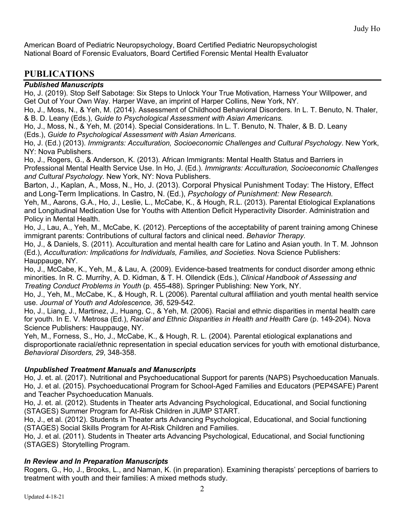American Board of Pediatric Neuropsychology, Board Certified Pediatric Neuropsychologist National Board of Forensic Evaluators, Board Certified Forensic Mental Health Evaluator

### **PUBLICATIONS**

#### *Published Manuscripts*

Ho, J. (2019). Stop Self Sabotage: Six Steps to Unlock Your True Motivation, Harness Your Willpower, and Get Out of Your Own Way. Harper Wave, an imprint of Harper Collins, New York, NY.

Ho, J., Moss, N., & Yeh, M. (2014). Assessment of Childhood Behavioral Disorders. In L. T. Benuto, N. Thaler, & B. D. Leany (Eds.), *Guide to Psychological Assessment with Asian Americans.*

Ho, J., Moss, N., & Yeh, M. (2014). Special Considerations. In L. T. Benuto, N. Thaler, & B. D. Leany (Eds.), *Guide to Psychological Assessment with Asian Americans.*

Ho, J. (Ed.) (2013). *Immigrants: Acculturation, Socioeconomic Challenges and Cultural Psychology*. New York, NY: Nova Publishers.

Ho, J., Rogers, G., & Anderson, K. (2013). African Immigrants: Mental Health Status and Barriers in Professional Mental Health Service Use. In Ho, J. (Ed.). *Immigrants: Acculturation, Socioeconomic Challenges and Cultural Psychology*. New York, NY: Nova Publishers.

Barton, J., Kaplan, A., Moss, N., Ho, J. (2013). Corporal Physical Punishment Today: The History, Effect and Long-Term Implications. In Castro, N. (Ed.), *Psychology of Punishment: New Research.*

Yeh, M., Aarons, G.A., Ho, J., Leslie, L., McCabe, K., & Hough, R.L. (2013). Parental Etiological Explanations and Longitudinal Medication Use for Youths with Attention Deficit Hyperactivity Disorder. Administration and Policy in Mental Health.

Ho, J., Lau, A., Yeh, M., McCabe, K. (2012). Perceptions of the acceptability of parent training among Chinese immigrant parents: Contributions of cultural factors and clinical need. *Behavior Therapy.*

Ho, J., & Daniels, S. (2011). Acculturation and mental health care for Latino and Asian youth. In T. M. Johnson (Ed.), *Acculturation: Implications for Individuals, Families, and Societies.* Nova Science Publishers: Hauppauge, NY.

Ho, J., McCabe, K., Yeh, M., & Lau, A. (2009). Evidence-based treatments for conduct disorder among ethnic minorities. In R. C. Murrihy, A. D. Kidman, & T. H. Ollendick (Eds.), *Clinical Handbook of Assessing and Treating Conduct Problems in Youth* (p. 455-488). Springer Publishing: New York, NY.

Ho, J., Yeh, M., McCabe, K., & Hough, R. L (2006). Parental cultural affiliation and youth mental health service use. *Journal of Youth and Adolescence, 36*, 529-542.

Ho, J., Liang, J., Martinez, J., Huang, C., & Yeh, M. (2006). Racial and ethnic disparities in mental health care for youth. In E. V. Metrosa (Ed.), *Racial and Ethnic Disparities in Health and Health Care* (p. 149-204). Nova Science Publishers: Hauppauge, NY.

Yeh, M., Forness, S., Ho, J., McCabe, K., & Hough, R. L. (2004). Parental etiological explanations and disproportionate racial/ethnic representation in special education services for youth with emotional disturbance, *Behavioral Disorders, 29*, 348-358.

#### *Unpublished Treatment Manuals and Manuscripts*

Ho, J. et. al. (2017). Nutritional and Psychoeducational Support for parents (NAPS) Psychoeducation Manuals. Ho, J. et al. (2015). Psychoeducational Program for School-Aged Families and Educators (PEP4SAFE) Parent and Teacher Psychoeducation Manuals.

Ho, J. et. al. (2012). Students in Theater arts Advancing Psychological, Educational, and Social functioning (STAGES) Summer Program for At-Risk Children in JUMP START.

Ho, J., et al. (2012). Students in Theater arts Advancing Psychological, Educational, and Social functioning (STAGES) Social Skills Program for At-Risk Children and Families.

Ho, J. et al. (2011). Students in Theater arts Advancing Psychological, Educational, and Social functioning (STAGES) Storytelling Program.

#### *In Review and In Preparation Manuscripts*

Rogers, G., Ho, J., Brooks, L., and Naman, K. (in preparation). Examining therapists' perceptions of barriers to treatment with youth and their families: A mixed methods study.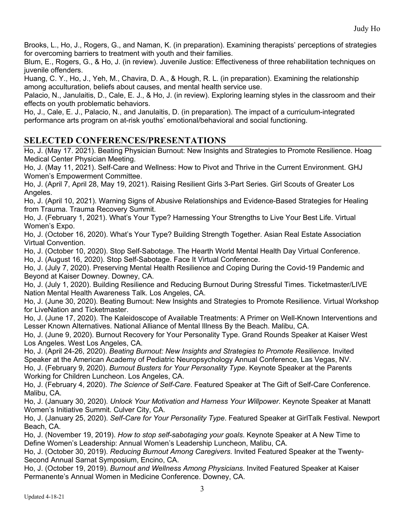Brooks, L., Ho, J., Rogers, G., and Naman, K. (in preparation). Examining therapists' perceptions of strategies for overcoming barriers to treatment with youth and their families.

Blum, E., Rogers, G., & Ho, J. (in review). Juvenile Justice: Effectiveness of three rehabilitation techniques on juvenile offenders.

Huang, C. Y., Ho, J., Yeh, M., Chavira, D. A., & Hough, R. L. (in preparation). Examining the relationship among acculturation, beliefs about causes, and mental health service use.

Palacio, N., Janulaitis, D., Cale, E. J., & Ho, J. (in review). Exploring learning styles in the classroom and their effects on youth problematic behaviors.

Ho, J., Cale, E. J., Palacio, N., and Janulaitis, D. (in preparation). The impact of a curriculum-integrated performance arts program on at-risk youths' emotional/behavioral and social functioning.

### **SELECTED CONFERENCES/PRESENTATIONS**

Ho, J. (May 17. 2021). Beating Physician Burnout: New Insights and Strategies to Promote Resilience. Hoag Medical Center Physician Meeting.

Ho, J. (May 11, 2021). Self-Care and Wellness: How to Pivot and Thrive in the Current Environment. GHJ Women's Empowerment Committee.

Ho, J. (April 7, April 28, May 19, 2021). Raising Resilient Girls 3-Part Series. Girl Scouts of Greater Los Angeles.

Ho, J. (April 10, 2021). Warning Signs of Abusive Relationships and Evidence-Based Strategies for Healing from Trauma. Trauma Recovery Summit.

Ho, J. (February 1, 2021). What's Your Type? Harnessing Your Strengths to Live Your Best Life. Virtual Women's Expo.

Ho, J. (October 16, 2020). What's Your Type? Building Strength Together. Asian Real Estate Association Virtual Convention.

Ho, J. (October 10, 2020). Stop Self-Sabotage. The Hearth World Mental Health Day Virtual Conference.

Ho, J. (August 16, 2020). Stop Self-Sabotage. Face It Virtual Conference.

Ho, J. (July 7, 2020). Preserving Mental Health Resilience and Coping During the Covid-19 Pandemic and Beyond at Kaiser Downey. Downey, CA.

Ho, J. (July 1, 2020). Building Resilience and Reducing Burnout During Stressful Times. Ticketmaster/LIVE Nation Mental Health Awareness Talk. Los Angeles, CA.

Ho, J. (June 30, 2020). Beating Burnout: New Insights and Strategies to Promote Resilience. Virtual Workshop for LiveNation and Ticketmaster.

Ho, J. (June 17, 2020). The Kaleidoscope of Available Treatments: A Primer on Well-Known Interventions and Lesser Known Alternatives. National Alliance of Mental Illness By the Beach. Malibu, CA.

Ho, J. (June 9, 2020). Burnout Recovery for Your Personality Type. Grand Rounds Speaker at Kaiser West Los Angeles. West Los Angeles, CA.

Ho, J. (April 24-26, 2020). *Beating Burnout: New Insights and Strategies to Promote Resilience*. Invited Speaker at the American Academy of Pediatric Neuropsychology Annual Conference, Las Vegas, NV. Ho, J. (February 9, 2020). *Burnout Busters for Your Personality Type*. Keynote Speaker at the Parents Working for Children Luncheon. Los Angeles, CA.

Ho, J. (February 4, 2020). *The Science of Self-Care*. Featured Speaker at The Gift of Self-Care Conference. Malibu, CA.

Ho, J. (January 30, 2020). *Unlock Your Motivation and Harness Your Willpower*. Keynote Speaker at Manatt Women's Initiative Summit. Culver City, CA.

Ho, J. (January 25, 2020). *Self-Care for Your Personality Type*. Featured Speaker at GirlTalk Festival. Newport Beach, CA.

Ho, J. (November 19, 2019). *How to stop self-sabotaging your goals*. Keynote Speaker at A New Time to Define Women's Leadership: Annual Women's Leadership Luncheon, Malibu, CA.

Ho, J. (October 30, 2019). *Reducing Burnout Among Caregivers*. Invited Featured Speaker at the Twenty-Second Annual Sarnat Symposium, Encino, CA.

Ho, J. (October 19, 2019). *Burnout and Wellness Among Physicians*. Invited Featured Speaker at Kaiser Permanente's Annual Women in Medicine Conference. Downey, CA.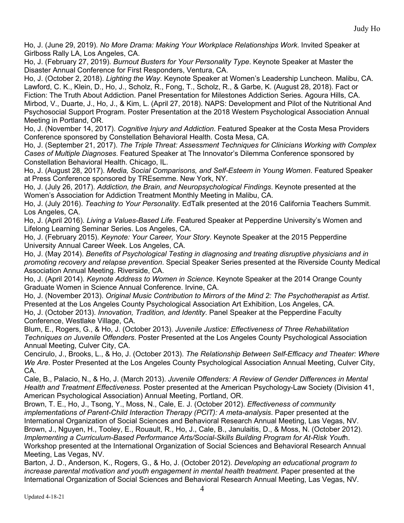Ho, J. (June 29, 2019). *No More Drama: Making Your Workplace Relationships Work*. Invited Speaker at Girlboss Rally LA, Los Angeles, CA.

Ho, J. (February 27, 2019). *Burnout Busters for Your Personality Type*. Keynote Speaker at Master the Disaster Annual Conference for First Responders, Ventura, CA.

Ho, J. (October 2, 2018). *Lighting the Way*. Keynote Speaker at Women's Leadership Luncheon. Malibu, CA. Lawford, C. K., Klein, D., Ho, J., Scholz, R., Fong, T., Scholz, R., & Garbe, K. (August 28, 2018). Fact or Fiction: The Truth About Addiction. Panel Presentation for Milestones Addiction Series. Agoura Hills, CA. Mirbod, V., Duarte, J., Ho, J., & Kim, L. (April 27, 2018). NAPS: Development and Pilot of the Nutritional And Psychosocial Support Program. Poster Presentation at the 2018 Western Psychological Association Annual Meeting in Portland, OR.

Ho, J. (November 14, 2017). *Cognitive Injury and Addiction*. Featured Speaker at the Costa Mesa Providers Conference sponsored by Constellation Behavioral Health. Costa Mesa, CA.

Ho, J. (September 21, 2017). *The Triple Threat: Assessment Techniques for Clinicians Working with Complex Cases of Multiple Diagnoses*. Featured Speaker at The Innovator's Dilemma Conference sponsored by Constellation Behavioral Health. Chicago, IL.

Ho, J. (August 28, 2017). *Media, Social Comparisons, and Self-Esteem in Young Women*. Featured Speaker at Press Conference sponsored by TREsemme. New York, NY.

Ho, J. (July 26, 2017). *Addiction, the Brain, and Neuropsychological Findings*. Keynote presented at the Women's Association for Addiction Treatment Monthly Meeting in Malibu, CA.

Ho, J. (July 2016). *Teaching to Your Personality*. EdTalk presented at the 2016 California Teachers Summit. Los Angeles, CA.

Ho, J. (April 2016). *Living a Values-Based Life*. Featured Speaker at Pepperdine University's Women and Lifelong Learning Seminar Series. Los Angeles, CA.

Ho, J. (February 2015). *Keynote: Your Career, Your Story*. Keynote Speaker at the 2015 Pepperdine University Annual Career Week. Los Angeles, CA.

Ho, J. (May 2014). *Benefits of Psychological Testing in diagnosing and treating disruptive physicians and in promoting recovery and relapse prevention*. Special Speaker Series presented at the Riverside County Medical Association Annual Meeting. Riverside, CA.

Ho, J. (April 2014). *Keynote Address to Women in Science*. Keynote Speaker at the 2014 Orange County Graduate Women in Science Annual Conference. Irvine, CA.

Ho, J. (November 2013). *Original Music Contribution to Mirrors of the Mind 2: The Psychotherapist as Artist*. Presented at the Los Angeles County Psychological Association Art Exhibition, Los Angeles, CA. Ho, J. (October 2013). *Innovation, Tradition, and Identity*. Panel Speaker at the Pepperdine Faculty Conference, Westlake Village, CA.

Blum, E., Rogers, G., & Ho, J. (October 2013). *Juvenile Justice: Effectiveness of Three Rehabilitation Techniques on Juvenile Offenders*. Poster Presented at the Los Angeles County Psychological Association Annual Meeting, Culver City, CA.

Cencirulo, J., Brooks, L., & Ho, J. (October 2013). *The Relationship Between Self-Efficacy and Theater: Where We Are*. Poster Presented at the Los Angeles County Psychological Association Annual Meeting, Culver City, CA.

Cale, B., Palacio, N., & Ho, J. (March 2013). *Juvenile Offenders: A Review of Gender Differences in Mental Health and Treatment Effectiveness*. Poster presented at the American Psychology-Law Society (Division 41, American Psychological Association) Annual Meeting, Portland, OR.

Brown, T. E., Ho, J., Tsong, Y., Moss, N., Cale, E. J. (October 2012). *Effectiveness of community implementations of Parent-Child Interaction Therapy (PCIT): A meta-analysis*. Paper presented at the International Organization of Social Sciences and Behavioral Research Annual Meeting, Las Vegas, NV. Brown, J., Nguyen, H., Tooley, E., Rouault, R., Ho, J., Cale, B., Janulaitis, D., & Moss, N. (October 2012). *Implementing a Curriculum-Based Performance Arts/Social-Skills Building Program for At-Risk Yout*h. Workshop presented at the International Organization of Social Sciences and Behavioral Research Annual Meeting, Las Vegas, NV.

Barton, J. D., Anderson, K., Rogers, G., & Ho, J. (October 2012). *Developing an educational program to increase parental motivation and youth engagement in mental health treatment*. Paper presented at the International Organization of Social Sciences and Behavioral Research Annual Meeting, Las Vegas, NV.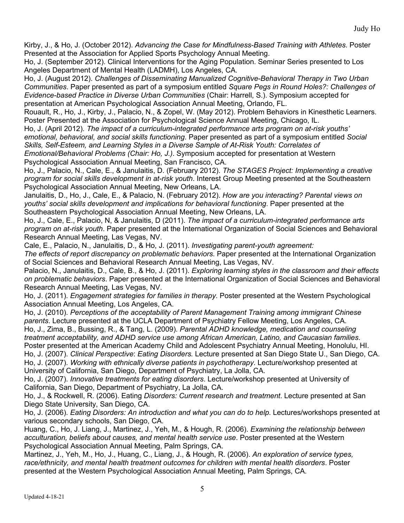Kirby, J., & Ho, J. (October 2012). *Advancing the Case for Mindfulness-Based Training with Athletes*. Poster Presented at the Association for Applied Sports Psychology Annual Meeting.

Ho, J. (September 2012). Clinical Interventions for the Aging Population. Seminar Series presented to Los Angeles Department of Mental Health (LADMH), Los Angeles, CA.

Ho, J. (August 2012). *Challenges of Disseminating Manualized Cognitive-Behavioral Therapy in Two Urban Communities*. Paper presented as part of a symposium entitled *Square Pegs in Round Holes?: Challenges of Evidence-based Practice in Diverse Urban Communities* (Chair: Harrell, S.). Symposium accepted for presentation at American Psychological Association Annual Meeting, Orlando, FL.

Rouault, R., Ho, J., Kirby, J., Palacio, N., & Zopel, W. (May 2012). Problem Behaviors in Kinesthetic Learners. Poster Presented at the Association for Psychological Science Annual Meeting, Chicago, IL.

Ho, J. (April 2012). *The impact of a curriculum-integrated performance arts program on at-risk youths' emotional, behavioral, and social skills functioning*. Paper presented as part of a symposium entitled *Social Skills, Self-Esteem, and Learning Styles in a Diverse Sample of At-Risk Youth: Correlates of Emotional/Behavioral Problems (Chair: Ho, J.)*. Symposium accepted for presentation at Western Psychological Association Annual Meeting, San Francisco, CA.

Ho, J., Palacio, N., Cale, E., & Janulaitis, D. (February 2012). *The STAGES Project: Implementing a creative program for social skills development in at-risk youth*. Interest Group Meeting presented at the Southeastern Psychological Association Annual Meeting, New Orleans, LA.

Janulaitis, D., Ho, J., Cale, E., & Palacio, N. (February 2012). *How are you interacting? Parental views on youths' social skills development and implications for behavioral functioning*. Paper presented at the Southeastern Psychological Association Annual Meeting, New Orleans, LA.

Ho, J., Cale, E., Palacio, N, & Janulaitis, D (2011). *The impact of a curriculum-integrated performance arts program on at-risk youth*. Paper presented at the International Organization of Social Sciences and Behavioral Research Annual Meeting, Las Vegas, NV.

Cale, E., Palacio, N., Janulaitis, D., & Ho, J. (2011). *Investigating parent-youth agreement:*

*The effects of report discrepancy on problematic behaviors*. Paper presented at the International Organization of Social Sciences and Behavioral Research Annual Meeting, Las Vegas, NV.

Palacio, N., Janulaitis, D., Cale, B., & Ho, J. (2011). *Exploring learning styles in the classroom and their effects on problematic behaviors*. Paper presented at the International Organization of Social Sciences and Behavioral Research Annual Meeting, Las Vegas, NV.

Ho, J. (2011). *Engagement strategies for families in therapy*. Poster presented at the Western Psychological Association Annual Meeting, Los Angeles, CA.

Ho, J. (2010). *Perceptions of the acceptability of Parent Management Training among immigrant Chinese parents*. Lecture presented at the UCLA Department of Psychiatry Fellow Meeting, Los Angeles, CA. Ho, J., Zima, B., Bussing, R., & Tang, L. (2009). *Parental ADHD knowledge, medication and counseling treatment acceptability, and ADHD service use among African American, Latino, and Caucasian families*. Poster presented at the American Academy Child and Adolescent Psychiatry Annual Meeting, Honolulu, HI.

Ho, J. (2007). *Clinical Perspective*: *Eating Disorders.* Lecture presented at San Diego State U., San Diego, CA. Ho, J. (2007). *Working with ethnically diverse patients in psychotherapy*. Lecture/workshop presented at University of California, San Diego, Department of Psychiatry, La Jolla, CA.

Ho, J. (2007). *Innovative treatments for eating disorders*. Lecture/workshop presented at University of California, San Diego, Department of Psychiatry, La Jolla, CA.

Ho, J., & Rockwell, R. (2006). Eating *Disorders: Current research and treatment*. Lecture presented at San Diego State University, San Diego, CA.

Ho, J. (2006). *Eating Disorders: An introduction and what you can do to help*. Lectures/workshops presented at various secondary schools, San Diego, CA.

Huang, C., Ho, J. Liang, J., Martinez, J., Yeh, M., & Hough, R. (2006). *Examining the relationship between acculturation, beliefs about causes, and mental health service use*. Poster presented at the Western Psychological Association Annual Meeting, Palm Springs, CA.

Martinez, J., Yeh, M., Ho, J., Huang, C., Liang, J., & Hough, R. (2006). *An exploration of service types, race/ethnicity, and mental health treatment outcomes for children with mental health disorders*. Poster presented at the Western Psychological Association Annual Meeting, Palm Springs, CA.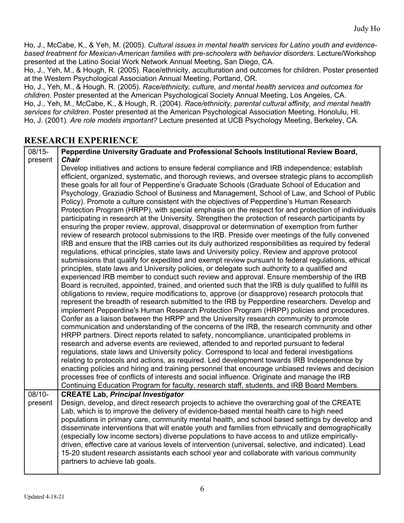Ho, J., McCabe, K., & Yeh, M. (2005). *Cultural issues in mental health services for Latino youth and evidencebased treatment for Mexican-American families with pre-schoolers with behavior disorders*. Lecture/Workshop presented at the Latino Social Work Network Annual Meeting, San Diego, CA.

Ho, J., Yeh, M., & Hough, R. (2005). Race/ethnicity, acculturation and outcomes for children. Poster presented at the Western Psychological Association Annual Meeting, Portland, OR.

Ho, J., Yeh, M., & Hough, R. (2005). *Race/ethnicity, culture, and mental health services and outcomes for children*. Poster presented at the American Psychological Society Annual Meeting, Los Angeles, CA. Ho, J., Yeh, M., McCabe, K., & Hough, R. (2004). *Race/ethnicity, parental cultural affinity, and mental health services for children*. Poster presented at the American Psychological Association Meeting, Honolulu, HI. Ho, J. (2001). *Are role models important?* Lecture presented at UCB Psychology Meeting, Berkeley, CA.

### **RESEARCH EXPERIENCE**

| $08/15 -$           | Pepperdine University Graduate and Professional Schools Institutional Review Board,                                                                                                                                                                                                                                                                                                                                                                                                                                                                                                                                                                                                                                                                                                                                                                                                                                                                                                                                                                                                                                                                                                                                                                                                                                                                                                                                                                                                                                                                                                                                                                                                                                                                                                                                                                                                                                                                                                                                                                                                                                                                                                                                                                                                                                                                                                                                                                                                                                                                                                                                                                                                                                                |
|---------------------|------------------------------------------------------------------------------------------------------------------------------------------------------------------------------------------------------------------------------------------------------------------------------------------------------------------------------------------------------------------------------------------------------------------------------------------------------------------------------------------------------------------------------------------------------------------------------------------------------------------------------------------------------------------------------------------------------------------------------------------------------------------------------------------------------------------------------------------------------------------------------------------------------------------------------------------------------------------------------------------------------------------------------------------------------------------------------------------------------------------------------------------------------------------------------------------------------------------------------------------------------------------------------------------------------------------------------------------------------------------------------------------------------------------------------------------------------------------------------------------------------------------------------------------------------------------------------------------------------------------------------------------------------------------------------------------------------------------------------------------------------------------------------------------------------------------------------------------------------------------------------------------------------------------------------------------------------------------------------------------------------------------------------------------------------------------------------------------------------------------------------------------------------------------------------------------------------------------------------------------------------------------------------------------------------------------------------------------------------------------------------------------------------------------------------------------------------------------------------------------------------------------------------------------------------------------------------------------------------------------------------------------------------------------------------------------------------------------------------------|
| present             | <b>Chair</b><br>Develop initiatives and actions to ensure federal compliance and IRB independence; establish<br>efficient, organized, systematic, and thorough reviews, and oversee strategic plans to accomplish<br>these goals for all four of Pepperdine's Graduate Schools (Graduate School of Education and<br>Psychology, Graziadio School of Business and Management, School of Law, and School of Public<br>Policy). Promote a culture consistent with the objectives of Pepperdine's Human Research<br>Protection Program (HRPP), with special emphasis on the respect for and protection of individuals<br>participating in research at the University. Strengthen the protection of research participants by<br>ensuring the proper review, approval, disapproval or determination of exemption from further<br>review of research protocol submissions to the IRB. Preside over meetings of the fully convened<br>IRB and ensure that the IRB carries out its duly authorized responsibilities as required by federal<br>regulations, ethical principles, state laws and University policy. Review and approve protocol<br>submissions that qualify for expedited and exempt review pursuant to federal regulations, ethical<br>principles, state laws and University policies, or delegate such authority to a qualified and<br>experienced IRB member to conduct such review and approval. Ensure membership of the IRB<br>Board is recruited, appointed, trained, and oriented such that the IRB is duly qualified to fulfill its<br>obligations to review, require modifications to, approve (or disapprove) research protocols that<br>represent the breadth of research submitted to the IRB by Pepperdine researchers. Develop and<br>implement Pepperdine's Human Research Protection Program (HRPP) policies and procedures.<br>Confer as a liaison between the HRPP and the University research community to promote<br>communication and understanding of the concerns of the IRB, the research community and other<br>HRPP partners. Direct reports related to safety, noncompliance, unanticipated problems in<br>research and adverse events are reviewed, attended to and reported pursuant to federal<br>regulations, state laws and University policy. Correspond to local and federal investigations<br>relating to protocols and actions, as required. Led development towards IRB Independence by<br>enacting policies and hiring and training personnel that encourage unbiased reviews and decision<br>processes free of conflicts of interests and social influence. Originate and manage the IRB<br>Continuing Education Program for faculty, research staff, students, and IRB Board Members. |
| $08/10-$<br>present | <b>CREATE Lab, Principal Investigator</b><br>Design, develop, and direct research projects to achieve the overarching goal of the CREATE<br>Lab, which is to improve the delivery of evidence-based mental health care to high need<br>populations in primary care, community mental health, and school based settings by develop and<br>disseminate interventions that will enable youth and families from ethnically and demographically<br>(especially low income sectors) diverse populations to have access to and utilize empirically-<br>driven, effective care at various levels of intervention (universal, selective, and indicated). Lead<br>15-20 student research assistants each school year and collaborate with various community<br>partners to achieve lab goals.                                                                                                                                                                                                                                                                                                                                                                                                                                                                                                                                                                                                                                                                                                                                                                                                                                                                                                                                                                                                                                                                                                                                                                                                                                                                                                                                                                                                                                                                                                                                                                                                                                                                                                                                                                                                                                                                                                                                                |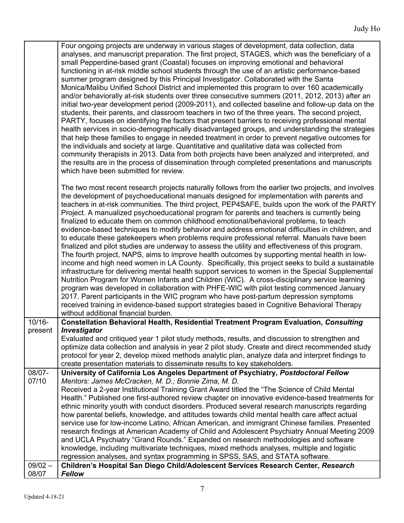|                              | Four ongoing projects are underway in various stages of development, data collection, data<br>analyses, and manuscript preparation. The first project, STAGES, which was the beneficiary of a<br>small Pepperdine-based grant (Coastal) focuses on improving emotional and behavioral<br>functioning in at-risk middle school students through the use of an artistic performance-based<br>summer program designed by this Principal Investigator. Collaborated with the Santa<br>Monica/Malibu Unified School District and implemented this program to over 160 academically<br>and/or behaviorally at-risk students over three consecutive summers (2011, 2012, 2013) after an<br>initial two-year development period (2009-2011), and collected baseline and follow-up data on the<br>students, their parents, and classroom teachers in two of the three years. The second project,<br>PARTY, focuses on identifying the factors that present barriers to receiving professional mental<br>health services in socio-demographically disadvantaged groups, and understanding the strategies<br>that help these families to engage in needed treatment in order to prevent negative outcomes for<br>the individuals and society at large. Quantitative and qualitative data was collected from<br>community therapists in 2013. Data from both projects have been analyzed and interpreted, and<br>the results are in the process of dissemination through completed presentations and manuscripts<br>which have been submitted for review. |
|------------------------------|-----------------------------------------------------------------------------------------------------------------------------------------------------------------------------------------------------------------------------------------------------------------------------------------------------------------------------------------------------------------------------------------------------------------------------------------------------------------------------------------------------------------------------------------------------------------------------------------------------------------------------------------------------------------------------------------------------------------------------------------------------------------------------------------------------------------------------------------------------------------------------------------------------------------------------------------------------------------------------------------------------------------------------------------------------------------------------------------------------------------------------------------------------------------------------------------------------------------------------------------------------------------------------------------------------------------------------------------------------------------------------------------------------------------------------------------------------------------------------------------------------------------------------------------------|
|                              | The two most recent research projects naturally follows from the earlier two projects, and involves<br>the development of psychoeducational manuals designed for implementation with parents and<br>teachers in at-risk communities. The third project, PEP4SAFE, builds upon the work of the PARTY<br>Project. A manualized psychoeducational program for parents and teachers is currently being<br>finalized to educate them on common childhood emotional/behavioral problems, to teach<br>evidence-based techniques to modify behavior and address emotional difficulties in children, and<br>to educate these gatekeepers when problems require professional referral. Manuals have been<br>finalized and pilot studies are underway to assess the utility and effectiveness of this program.<br>The fourth project, NAPS, aims to improve health outcomes by supporting mental health in low-<br>income and high need women in LA County. Specifically, this project seeks to build a sustainable<br>infrastructure for delivering mental health support services to women in the Special Supplemental<br>Nutrition Program for Women Infants and Children (WIC). A cross-disciplinary service learning<br>program was developed in collaboration with PHFE-WIC with pilot testing commenced January<br>2017. Parent participants in the WIC program who have post-partum depression symptoms<br>received training in evidence-based support strategies based in Cognitive Behavioral Therapy<br>without additional financial burden.  |
| $10/16 -$<br>present         | Constellation Behavioral Health, Residential Treatment Program Evaluation, Consulting<br>Investigator<br>Evaluated and critiqued year 1 pilot study methods, results, and discussion to strengthen and<br>optimize data collection and analysis in year 2 pilot study. Create and direct recommended study<br>protocol for year 2, develop mixed methods analytic plan, analyze data and interpret findings to<br>create presentation materials to disseminate results to key stakeholders.                                                                                                                                                                                                                                                                                                                                                                                                                                                                                                                                                                                                                                                                                                                                                                                                                                                                                                                                                                                                                                                   |
| 08/07-<br>07/10<br>$09/02 -$ | University of California Los Angeles Department of Psychiatry, Postdoctoral Fellow<br>Mentors: James McCracken, M. D.; Bonnie Zima, M. D.<br>Received a 2-year Institutional Training Grant Award titled the "The Science of Child Mental<br>Health." Published one first-authored review chapter on innovative evidence-based treatments for<br>ethnic minority youth with conduct disorders. Produced several research manuscripts regarding<br>how parental beliefs, knowledge, and attitudes towards child mental health care affect actual<br>service use for low-income Latino, African American, and immigrant Chinese families. Presented<br>research findings at American Academy of Child and Adolescent Psychiatry Annual Meeting 2009<br>and UCLA Psychiatry "Grand Rounds." Expanded on research methodologies and software<br>knowledge, including multivariate techniques, mixed methods analyses, multiple and logistic<br>regression analyses, and syntax programming in SPSS, SAS, and STATA software.<br>Children's Hospital San Diego Child/Adolescent Services Research Center, Research                                                                                                                                                                                                                                                                                                                                                                                                                                 |
| 08/07                        | <b>Fellow</b>                                                                                                                                                                                                                                                                                                                                                                                                                                                                                                                                                                                                                                                                                                                                                                                                                                                                                                                                                                                                                                                                                                                                                                                                                                                                                                                                                                                                                                                                                                                                 |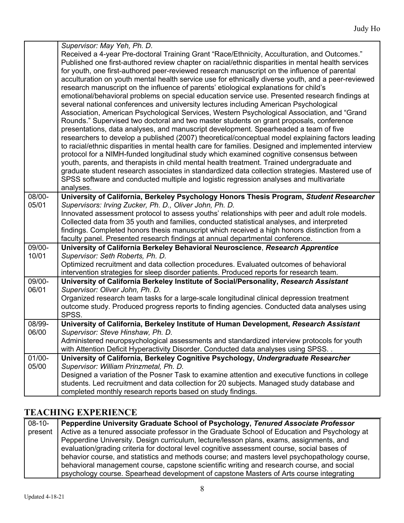|           | Supervisor: May Yeh, Ph. D.                                                                                                                                                                              |
|-----------|----------------------------------------------------------------------------------------------------------------------------------------------------------------------------------------------------------|
|           | Received a 4-year Pre-doctoral Training Grant "Race/Ethnicity, Acculturation, and Outcomes."                                                                                                             |
|           | Published one first-authored review chapter on racial/ethnic disparities in mental health services                                                                                                       |
|           | for youth, one first-authored peer-reviewed research manuscript on the influence of parental                                                                                                             |
|           | acculturation on youth mental health service use for ethnically diverse youth, and a peer-reviewed                                                                                                       |
|           | research manuscript on the influence of parents' etiological explanations for child's                                                                                                                    |
|           | emotional/behavioral problems on special education service use. Presented research findings at                                                                                                           |
|           | several national conferences and university lectures including American Psychological                                                                                                                    |
|           | Association, American Psychological Services, Western Psychological Association, and "Grand                                                                                                              |
|           | Rounds." Supervised two doctoral and two master students on grant proposals, conference                                                                                                                  |
|           | presentations, data analyses, and manuscript development. Spearheaded a team of five                                                                                                                     |
|           | researchers to develop a published (2007) theoretical/conceptual model explaining factors leading<br>to racial/ethnic disparities in mental health care for families. Designed and implemented interview |
|           | protocol for a NIMH-funded longitudinal study which examined cognitive consensus between                                                                                                                 |
|           | youth, parents, and therapists in child mental health treatment. Trained undergraduate and                                                                                                               |
|           | graduate student research associates in standardized data collection strategies. Mastered use of                                                                                                         |
|           | SPSS software and conducted multiple and logistic regression analyses and multivariate                                                                                                                   |
|           | analyses.                                                                                                                                                                                                |
| 08/00-    | University of California, Berkeley Psychology Honors Thesis Program, Student Researcher                                                                                                                  |
| 05/01     | Supervisors: Irving Zucker, Ph. D., Oliver John, Ph. D.                                                                                                                                                  |
|           | Innovated assessment protocol to assess youths' relationships with peer and adult role models.                                                                                                           |
|           | Collected data from 35 youth and families, conducted statistical analyses, and interpreted                                                                                                               |
|           | findings. Completed honors thesis manuscript which received a high honors distinction from a                                                                                                             |
| 09/00-    | faculty panel. Presented research findings at annual departmental conference.<br>University of California Berkeley Behavioral Neuroscience, Research Apprentice                                          |
| 10/01     | Supervisor: Seth Roberts, Ph. D.                                                                                                                                                                         |
|           | Optimized recruitment and data collection procedures. Evaluated outcomes of behavioral                                                                                                                   |
|           | intervention strategies for sleep disorder patients. Produced reports for research team.                                                                                                                 |
| 09/00-    | University of California Berkeley Institute of Social/Personality, Research Assistant                                                                                                                    |
| 06/01     | Supervisor: Oliver John, Ph. D.                                                                                                                                                                          |
|           | Organized research team tasks for a large-scale longitudinal clinical depression treatment                                                                                                               |
|           | outcome study. Produced progress reports to finding agencies. Conducted data analyses using                                                                                                              |
|           | SPSS.                                                                                                                                                                                                    |
| 08/99-    | University of California, Berkeley Institute of Human Development, Research Assistant                                                                                                                    |
| 06/00     | Supervisor: Steve Hinshaw, Ph. D.                                                                                                                                                                        |
|           | Administered neuropsychological assessments and standardized interview protocols for youth                                                                                                               |
| $01/00 -$ | with Attention Deficit Hyperactivity Disorder. Conducted data analyses using SPSS<br>University of California, Berkeley Cognitive Psychology, Undergraduate Researcher                                   |
| 05/00     | Supervisor: William Prinzmetal, Ph. D.                                                                                                                                                                   |
|           | Designed a variation of the Posner Task to examine attention and executive functions in college                                                                                                          |
|           | students. Led recruitment and data collection for 20 subjects. Managed study database and                                                                                                                |
|           |                                                                                                                                                                                                          |
|           | completed monthly research reports based on study findings.                                                                                                                                              |

# **TEACHING EXPERIENCE**

| $08-10-$ | Pepperdine University Graduate School of Psychology, Tenured Associate Professor              |
|----------|-----------------------------------------------------------------------------------------------|
| present  | Active as a tenured associate professor in the Graduate School of Education and Psychology at |
|          | Pepperdine University. Design curriculum, lecture/lesson plans, exams, assignments, and       |
|          | evaluation/grading criteria for doctoral level cognitive assessment course, social bases of   |
|          | behavior course, and statistics and methods course; and masters level psychopathology course, |
|          | behavioral management course, capstone scientific writing and research course, and social     |
|          | psychology course. Spearhead development of capstone Masters of Arts course integrating       |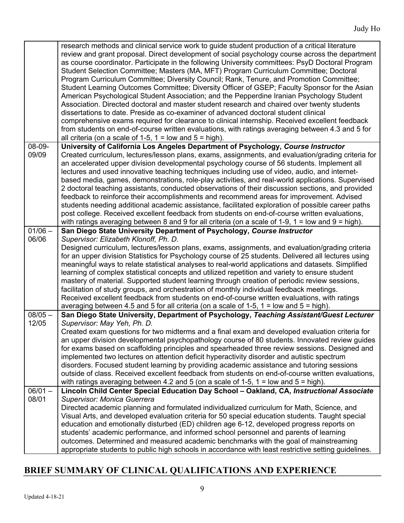|                    | research methods and clinical service work to guide student production of a critical literature<br>review and grant proposal. Direct development of social psychology course across the department<br>as course coordinator. Participate in the following University committees: PsyD Doctoral Program<br>Student Selection Committee; Masters (MA, MFT) Program Curriculum Committee; Doctoral<br>Program Curriculum Committee; Diversity Council; Rank, Tenure, and Promotion Committee;<br>Student Learning Outcomes Committee; Diversity Officer of GSEP; Faculty Sponsor for the Asian<br>American Psychological Student Association; and the Pepperdine Iranian Psychology Student<br>Association. Directed doctoral and master student research and chaired over twenty students<br>dissertations to date. Preside as co-examiner of advanced doctoral student clinical<br>comprehensive exams required for clearance to clinical internship. Received excellent feedback<br>from students on end-of-course written evaluations, with ratings averaging between 4.3 and 5 for<br>all criteria (on a scale of 1-5, $1 =$ low and $5 =$ high). |
|--------------------|-----------------------------------------------------------------------------------------------------------------------------------------------------------------------------------------------------------------------------------------------------------------------------------------------------------------------------------------------------------------------------------------------------------------------------------------------------------------------------------------------------------------------------------------------------------------------------------------------------------------------------------------------------------------------------------------------------------------------------------------------------------------------------------------------------------------------------------------------------------------------------------------------------------------------------------------------------------------------------------------------------------------------------------------------------------------------------------------------------------------------------------------------------|
| 08-09-<br>09/09    | University of California Los Angeles Department of Psychology, Course Instructor<br>Created curriculum, lectures/lesson plans, exams, assignments, and evaluation/grading criteria for<br>an accelerated upper division developmental psychology course of 56 students. Implement all<br>lectures and used innovative teaching techniques including use of video, audio, and internet-<br>based media, games, demonstrations, role-play activities, and real-world applications. Supervised<br>2 doctoral teaching assistants, conducted observations of their discussion sections, and provided<br>feedback to reinforce their accomplishments and recommend areas for improvement. Advised<br>students needing additional academic assistance, facilitated exploration of possible career paths<br>post college. Received excellent feedback from students on end-of-course written evaluations,<br>with ratings averaging between 8 and 9 for all criteria (on a scale of 1-9, 1 = low and $9 = high$ ).                                                                                                                                         |
| $01/06 -$          | San Diego State University Department of Psychology, Course Instructor                                                                                                                                                                                                                                                                                                                                                                                                                                                                                                                                                                                                                                                                                                                                                                                                                                                                                                                                                                                                                                                                              |
| 06/06              | Supervisor: Elizabeth Klonoff, Ph. D.<br>Designed curriculum, lectures/lesson plans, exams, assignments, and evaluation/grading criteria<br>for an upper division Statistics for Psychology course of 25 students. Delivered all lectures using<br>meaningful ways to relate statistical analyses to real-world applications and datasets. Simplified<br>learning of complex statistical concepts and utilized repetition and variety to ensure student<br>mastery of material. Supported student learning through creation of periodic review sessions,<br>facilitation of study groups, and orchestration of monthly individual feedback meetings.<br>Received excellent feedback from students on end-of-course written evaluations, with ratings<br>averaging between 4.5 and 5 for all criteria (on a scale of 1-5, 1 = low and $5 = high$ ).                                                                                                                                                                                                                                                                                                  |
| $08/05 -$<br>12/05 | San Diego State University, Department of Psychology, Teaching Assistant/Guest Lecturer<br>Supervisor: May Yeh, Ph. D.                                                                                                                                                                                                                                                                                                                                                                                                                                                                                                                                                                                                                                                                                                                                                                                                                                                                                                                                                                                                                              |
|                    | Created exam questions for two midterms and a final exam and developed evaluation criteria for<br>an upper division developmental psychopathology course of 80 students. Innovated review guides<br>for exams based on scaffolding principles and spearheaded three review sessions. Designed and<br>implemented two lectures on attention deficit hyperactivity disorder and autistic spectrum<br>disorders. Focused student learning by providing academic assistance and tutoring sessions<br>outside of class. Received excellent feedback from students on end-of-course written evaluations,<br>with ratings averaging between 4.2 and 5 (on a scale of 1-5, 1 = low and $5 =$ high).                                                                                                                                                                                                                                                                                                                                                                                                                                                         |
| $06/01 -$<br>08/01 | Lincoln Child Center Special Education Day School - Oakland, CA, Instructional Associate<br>Supervisor: Monica Guerrera<br>Directed academic planning and formulated individualized curriculum for Math, Science, and<br>Visual Arts, and developed evaluation criteria for 50 special education students. Taught special<br>education and emotionally disturbed (ED) children age 6-12, developed progress reports on                                                                                                                                                                                                                                                                                                                                                                                                                                                                                                                                                                                                                                                                                                                              |
|                    | students' academic performance, and informed school personnel and parents of learning<br>outcomes. Determined and measured academic benchmarks with the goal of mainstreaming<br>appropriate students to public high schools in accordance with least restrictive setting guidelines.                                                                                                                                                                                                                                                                                                                                                                                                                                                                                                                                                                                                                                                                                                                                                                                                                                                               |

# **BRIEF SUMMARY OF CLINICAL QUALIFICATIONS AND EXPERIENCE**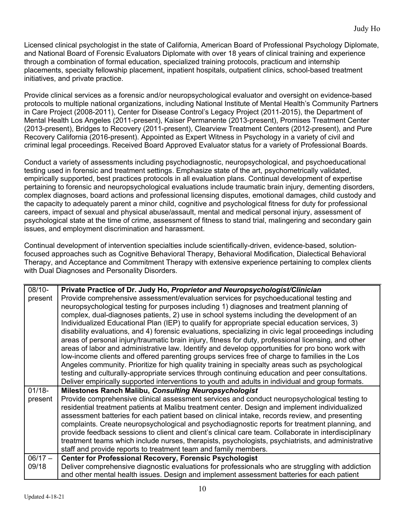Licensed clinical psychologist in the state of California, American Board of Professional Psychology Diplomate, and National Board of Forensic Evaluators Diplomate with over 18 years of clinical training and experience through a combination of formal education, specialized training protocols, practicum and internship placements, specialty fellowship placement, inpatient hospitals, outpatient clinics, school-based treatment initiatives, and private practice.

Provide clinical services as a forensic and/or neuropsychological evaluator and oversight on evidence-based protocols to multiple national organizations, including National Institute of Mental Health's Community Partners in Care Project (2008-2011), Center for Disease Control's Legacy Project (2011-2015), the Department of Mental Health Los Angeles (2011-present), Kaiser Permanente (2013-present), Promises Treatment Center (2013-present), Bridges to Recovery (2011-present), Clearview Treatment Centers (2012-present), and Pure Recovery California (2016-present). Appointed as Expert Witness in Psychology in a variety of civil and criminal legal proceedings. Received Board Approved Evaluator status for a variety of Professional Boards.

Conduct a variety of assessments including psychodiagnostic, neuropsychological, and psychoeducational testing used in forensic and treatment settings. Emphasize state of the art, psychometrically validated, empirically supported, best practices protocols in all evaluation plans. Continual development of expertise pertaining to forensic and neuropsychological evaluations include traumatic brain injury, dementing disorders, complex diagnoses, board actions and professional licensing disputes, emotional damages, child custody and the capacity to adequately parent a minor child, cognitive and psychological fitness for duty for professional careers, impact of sexual and physical abuse/assault, mental and medical personal injury, assessment of psychological state at the time of crime, assessment of fitness to stand trial, malingering and secondary gain issues, and employment discrimination and harassment.

Continual development of intervention specialties include scientifically-driven, evidence-based, solutionfocused approaches such as Cognitive Behavioral Therapy, Behavioral Modification, Dialectical Behavioral Therapy, and Acceptance and Commitment Therapy with extensive experience pertaining to complex clients with Dual Diagnoses and Personality Disorders.

| $08/10 -$ | Private Practice of Dr. Judy Ho, Proprietor and Neuropsychologist/Clinician                            |
|-----------|--------------------------------------------------------------------------------------------------------|
| present   | Provide comprehensive assessment/evaluation services for psychoeducational testing and                 |
|           | neuropsychological testing for purposes including 1) diagnoses and treatment planning of               |
|           | complex, dual-diagnoses patients, 2) use in school systems including the development of an             |
|           | Individualized Educational Plan (IEP) to qualify for appropriate special education services, 3)        |
|           |                                                                                                        |
|           | disability evaluations, and 4) forensic evaluations, specializing in civic legal proceedings including |
|           | areas of personal injury/traumatic brain injury, fitness for duty, professional licensing, and other   |
|           | areas of labor and administrative law. Identify and develop opportunities for pro bono work with       |
|           | low-income clients and offered parenting groups services free of charge to families in the Los         |
|           | Angeles community. Prioritize for high quality training in specialty areas such as psychological       |
|           | testing and culturally-appropriate services through continuing education and peer consultations.       |
|           | Deliver empirically supported interventions to youth and adults in individual and group formats.       |
| $01/18 -$ | Milestones Ranch Malibu, Consulting Neuropsychologist                                                  |
| present   | Provide comprehensive clinical assessment services and conduct neuropsychological testing to           |
|           | residential treatment patients at Malibu treatment center. Design and implement individualized         |
|           | assessment batteries for each patient based on clinical intake, records review, and presenting         |
|           | complaints. Create neuropsychological and psychodiagnostic reports for treatment planning, and         |
|           | provide feedback sessions to client and client's clinical care team. Collaborate in interdisciplinary  |
|           | treatment teams which include nurses, therapists, psychologists, psychiatrists, and administrative     |
|           | staff and provide reports to treatment team and family members.                                        |
| $06/17 -$ | <b>Center for Professional Recovery, Forensic Psychologist</b>                                         |
| 09/18     | Deliver comprehensive diagnostic evaluations for professionals who are struggling with addiction       |
|           | and other mental health issues. Design and implement assessment batteries for each patient             |
|           |                                                                                                        |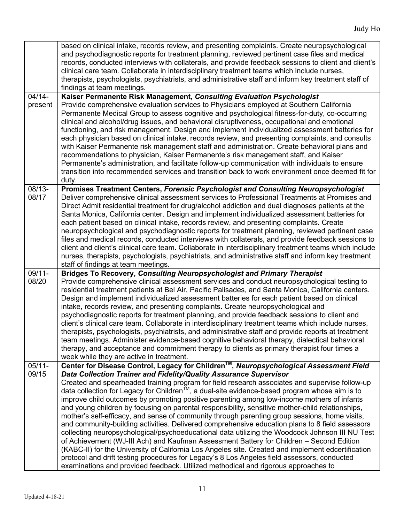|                    | based on clinical intake, records review, and presenting complaints. Create neuropsychological<br>and psychodiagnostic reports for treatment planning, reviewed pertinent case files and medical<br>records, conducted interviews with collaterals, and provide feedback sessions to client and client's<br>clinical care team. Collaborate in interdisciplinary treatment teams which include nurses,<br>therapists, psychologists, psychiatrists, and administrative staff and inform key treatment staff of<br>findings at team meetings.                                                                                                                                                                                                                                                                                                                                                                                                                                                                                                                                                                                                                                                                                                                              |
|--------------------|---------------------------------------------------------------------------------------------------------------------------------------------------------------------------------------------------------------------------------------------------------------------------------------------------------------------------------------------------------------------------------------------------------------------------------------------------------------------------------------------------------------------------------------------------------------------------------------------------------------------------------------------------------------------------------------------------------------------------------------------------------------------------------------------------------------------------------------------------------------------------------------------------------------------------------------------------------------------------------------------------------------------------------------------------------------------------------------------------------------------------------------------------------------------------------------------------------------------------------------------------------------------------|
| 04/14-<br>present  | Kaiser Permanente Risk Management, Consulting Evaluation Psychologist<br>Provide comprehensive evaluation services to Physicians employed at Southern California<br>Permanente Medical Group to assess cognitive and psychological fitness-for-duty, co-occurring<br>clinical and alcohol/drug issues, and behavioral disruptiveness, occupational and emotional<br>functioning, and risk management. Design and implement individualized assessment batteries for<br>each physician based on clinical intake, records review, and presenting complaints, and consults<br>with Kaiser Permanente risk management staff and administration. Create behavioral plans and<br>recommendations to physician, Kaiser Permanente's risk management staff, and Kaiser<br>Permanente's administration, and facilitate follow-up communication with individuals to ensure<br>transition into recommended services and transition back to work environment once deemed fit for<br>duty.                                                                                                                                                                                                                                                                                              |
| 08/13-<br>08/17    | Promises Treatment Centers, Forensic Psychologist and Consulting Neuropsychologist<br>Deliver comprehensive clinical assessment services to Professional Treatments at Promises and<br>Direct Admit residential treatment for drug/alcohol addiction and dual diagnoses patients at the<br>Santa Monica, California center. Design and implement individualized assessment batteries for<br>each patient based on clinical intake, records review, and presenting complaints. Create<br>neuropsychological and psychodiagnostic reports for treatment planning, reviewed pertinent case<br>files and medical records, conducted interviews with collaterals, and provide feedback sessions to<br>client and client's clinical care team. Collaborate in interdisciplinary treatment teams which include<br>nurses, therapists, psychologists, psychiatrists, and administrative staff and inform key treatment<br>staff of findings at team meetings.                                                                                                                                                                                                                                                                                                                     |
| 09/11-<br>08/20    | <b>Bridges To Recovery, Consulting Neuropsychologist and Primary Therapist</b><br>Provide comprehensive clinical assessment services and conduct neuropsychological testing to<br>residential treatment patients at Bel Air, Pacific Palisades, and Santa Monica, California centers.<br>Design and implement individualized assessment batteries for each patient based on clinical<br>intake, records review, and presenting complaints. Create neuropsychological and<br>psychodiagnostic reports for treatment planning, and provide feedback sessions to client and<br>client's clinical care team. Collaborate in interdisciplinary treatment teams which include nurses,<br>therapists, psychologists, psychiatrists, and administrative staff and provide reports at treatment<br>team meetings. Administer evidence-based cognitive behavioral therapy, dialectical behavioral<br>therapy, and acceptance and commitment therapy to clients as primary therapist four times a<br>week while they are active in treatment.                                                                                                                                                                                                                                        |
| $05/11 -$<br>09/15 | Center for Disease Control, Legacy for Children™, Neuropsychological Assessment Field<br>Data Collection Trainer and Fidelity/Quality Assurance Supervisor<br>Created and spearheaded training program for field research associates and supervise follow-up<br>data collection for Legacy for Children <sup>™</sup> , a dual-site evidence-based program whose aim is to<br>improve child outcomes by promoting positive parenting among low-income mothers of infants<br>and young children by focusing on parental responsibility, sensitive mother-child relationships,<br>mother's self-efficacy, and sense of community through parenting group sessions, home visits,<br>and community-building activities. Delivered comprehensive education plans to 8 field assessors<br>collecting neuropsychological/psychoeducational data utilizing the Woodcock Johnson III NU Test<br>of Achievement (WJ-III Ach) and Kaufman Assessment Battery for Children - Second Edition<br>(KABC-II) for the University of California Los Angeles site. Created and implement edcertification<br>protocol and drift testing procedures for Legacy's 8 Los Angeles field assessors, conducted<br>examinations and provided feedback. Utilized methodical and rigorous approaches to |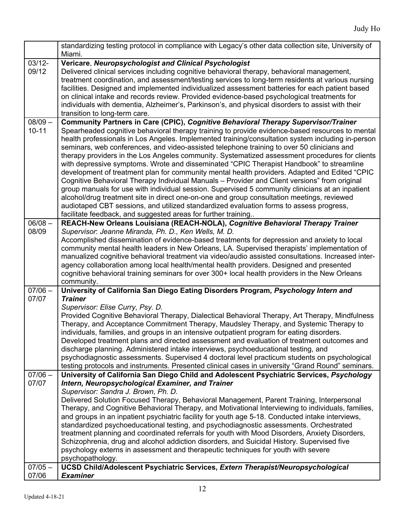|                                 | standardizing testing protocol in compliance with Legacy's other data collection site, University of<br>Miami.                                                                                                                                                                                                                                                                                                                                                                                                                                                                                                                                                                                                                                                                                                                                                                                                                                                                                                                                                                                                                                         |
|---------------------------------|--------------------------------------------------------------------------------------------------------------------------------------------------------------------------------------------------------------------------------------------------------------------------------------------------------------------------------------------------------------------------------------------------------------------------------------------------------------------------------------------------------------------------------------------------------------------------------------------------------------------------------------------------------------------------------------------------------------------------------------------------------------------------------------------------------------------------------------------------------------------------------------------------------------------------------------------------------------------------------------------------------------------------------------------------------------------------------------------------------------------------------------------------------|
| $03/12 -$<br>09/12              | Vericare, Neuropsychologist and Clinical Psychologist<br>Delivered clinical services including cognitive behavioral therapy, behavioral management,<br>treatment coordination, and assessment/testing services to long-term residents at various nursing<br>facilities. Designed and implemented individualized assessment batteries for each patient based<br>on clinical intake and records review. Provided evidence-based psychological treatments for<br>individuals with dementia, Alzheimer's, Parkinson's, and physical disorders to assist with their<br>transition to long-term care.                                                                                                                                                                                                                                                                                                                                                                                                                                                                                                                                                        |
| $08/09 -$<br>$10 - 11$          | Community Partners in Care (CPIC), Cognitive Behavioral Therapy Supervisor/Trainer<br>Spearheaded cognitive behavioral therapy training to provide evidence-based resources to mental<br>health professionals in Los Angeles. Implemented training/consultation system including in-person<br>seminars, web conferences, and video-assisted telephone training to over 50 clinicians and<br>therapy providers in the Los Angeles community. Systematized assessment procedures for clients<br>with depressive symptoms. Wrote and disseminated "CPIC Therapist Handbook" to streamline<br>development of treatment plan for community mental health providers. Adapted and Edited "CPIC<br>Cognitive Behavioral Therapy Individual Manuals - Provider and Client versions" from original<br>group manuals for use with individual session. Supervised 5 community clinicians at an inpatient<br>alcohol/drug treatment site in direct one-on-one and group consultation meetings, reviewed<br>audiotaped CBT sessions, and utilized standardized evaluation forms to assess progress,<br>facilitate feedback, and suggested areas for further training |
| $06/08 -$<br>08/09              | REACH-New Orleans Louisiana (REACH-NOLA), Cognitive Behavioral Therapy Trainer<br>Supervisor: Jeanne Miranda, Ph. D., Ken Wells, M. D.<br>Accomplished dissemination of evidence-based treatments for depression and anxiety to local<br>community mental health leaders in New Orleans, LA. Supervised therapists' implementation of<br>manualized cognitive behavioral treatment via video/audio assisted consultations. Increased inter-<br>agency collaboration among local health/mental health providers. Designed and presented<br>cognitive behavioral training seminars for over 300+ local health providers in the New Orleans<br>community.                                                                                                                                                                                                                                                                                                                                                                                                                                                                                                 |
| $07/06 -$<br>07/07              | University of California San Diego Eating Disorders Program, Psychology Intern and<br><b>Trainer</b><br>Supervisor: Elise Curry, Psy. D.<br>Provided Cognitive Behavioral Therapy, Dialectical Behavioral Therapy, Art Therapy, Mindfulness<br>Therapy, and Acceptance Commitment Therapy, Maudsley Therapy, and Systemic Therapy to<br>individuals, families, and groups in an intensive outpatient program for eating disorders.<br>Developed treatment plans and directed assessment and evaluation of treatment outcomes and<br>discharge planning. Administered intake interviews, psychoeducational testing, and<br>psychodiagnostic assessments. Supervised 4 doctoral level practicum students on psychological<br>testing protocols and instruments. Presented clinical cases in university "Grand Round" seminars.                                                                                                                                                                                                                                                                                                                           |
| $07/06 -$<br>07/07<br>$07/05 -$ | University of California San Diego Child and Adolescent Psychiatric Services, Psychology<br>Intern, Neuropsychological Examiner, and Trainer<br>Supervisor: Sandra J. Brown, Ph. D.<br>Delivered Solution Focused Therapy, Behavioral Management, Parent Training, Interpersonal<br>Therapy, and Cognitive Behavioral Therapy, and Motivational Interviewing to individuals, families,<br>and groups in an inpatient psychiatric facility for youth age 5-18. Conducted intake interviews,<br>standardized psychoeducational testing, and psychodiagnostic assessments. Orchestrated<br>treatment planning and coordinated referrals for youth with Mood Disorders, Anxiety Disorders,<br>Schizophrenia, drug and alcohol addiction disorders, and Suicidal History. Supervised five<br>psychology externs in assessment and therapeutic techniques for youth with severe<br>psychopathology.<br>UCSD Child/Adolescent Psychiatric Services, Extern Therapist/Neuropsychological                                                                                                                                                                       |
| 07/06                           | <b>Examiner</b>                                                                                                                                                                                                                                                                                                                                                                                                                                                                                                                                                                                                                                                                                                                                                                                                                                                                                                                                                                                                                                                                                                                                        |

 $\Gamma$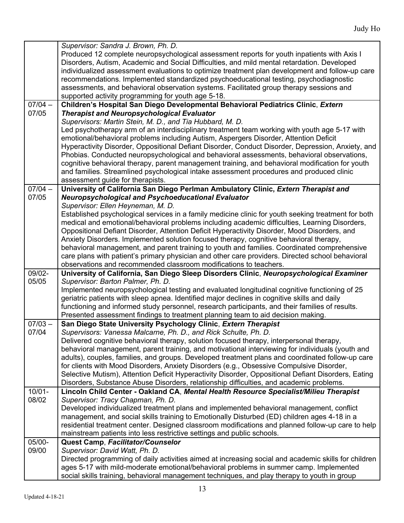|           | Supervisor: Sandra J. Brown, Ph. D.                                                                  |
|-----------|------------------------------------------------------------------------------------------------------|
|           | Produced 12 complete neuropsychological assessment reports for youth inpatients with Axis I          |
|           | Disorders, Autism, Academic and Social Difficulties, and mild mental retardation. Developed          |
|           | individualized assessment evaluations to optimize treatment plan development and follow-up care      |
|           | recommendations. Implemented standardized psychoeducational testing, psychodiagnostic                |
|           | assessments, and behavioral observation systems. Facilitated group therapy sessions and              |
|           | supported activity programming for youth age 5-18.                                                   |
| $07/04 -$ | Children's Hospital San Diego Developmental Behavioral Pediatrics Clinic, Extern                     |
| 07/05     | <b>Therapist and Neuropsychological Evaluator</b>                                                    |
|           | Supervisors: Martin Stein, M. D., and Tia Hubbard, M. D.                                             |
|           | Led psychotherapy arm of an interdisciplinary treatment team working with youth age 5-17 with        |
|           | emotional/behavioral problems including Autism, Aspergers Disorder, Attention Deficit                |
|           | Hyperactivity Disorder, Oppositional Defiant Disorder, Conduct Disorder, Depression, Anxiety, and    |
|           | Phobias. Conducted neuropsychological and behavioral assessments, behavioral observations,           |
|           | cognitive behavioral therapy, parent management training, and behavioral modification for youth      |
|           | and families. Streamlined psychological intake assessment procedures and produced clinic             |
|           | assessment guide for therapists.                                                                     |
| $07/04 -$ | University of California San Diego Perlman Ambulatory Clinic, Extern Therapist and                   |
| 07/05     | Neuropsychological and Psychoeducational Evaluator                                                   |
|           | Supervisor: Ellen Heyneman, M. D.                                                                    |
|           | Established psychological services in a family medicine clinic for youth seeking treatment for both  |
|           | medical and emotional/behavioral problems including academic difficulties, Learning Disorders,       |
|           | Oppositional Defiant Disorder, Attention Deficit Hyperactivity Disorder, Mood Disorders, and         |
|           | Anxiety Disorders. Implemented solution focused therapy, cognitive behavioral therapy,               |
|           | behavioral management, and parent training to youth and families. Coordinated comprehensive          |
|           | care plans with patient's primary physician and other care providers. Directed school behavioral     |
|           | observations and recommended classroom modifications to teachers.                                    |
| 09/02-    | University of California, San Diego Sleep Disorders Clinic, Neuropsychological Examiner              |
| 05/05     | Supervisor: Barton Palmer, Ph. D.                                                                    |
|           | Implemented neuropsychological testing and evaluated longitudinal cognitive functioning of 25        |
|           | geriatric patients with sleep apnea. Identified major declines in cognitive skills and daily         |
|           | functioning and informed study personnel, research participants, and their families of results.      |
|           | Presented assessment findings to treatment planning team to aid decision making.                     |
| $07/03 -$ | San Diego State University Psychology Clinic, Extern Therapist                                       |
| 07/04     | Supervisors: Vanessa Malcarne, Ph. D., and Rick Schulte, Ph. D.                                      |
|           | Delivered cognitive behavioral therapy, solution focused therapy, interpersonal therapy,             |
|           | behavioral management, parent training, and motivational interviewing for individuals (youth and     |
|           | adults), couples, families, and groups. Developed treatment plans and coordinated follow-up care     |
|           | for clients with Mood Disorders, Anxiety Disorders (e.g., Obsessive Compulsive Disorder,             |
|           | Selective Mutism), Attention Deficit Hyperactivity Disorder, Oppositional Defiant Disorders, Eating  |
|           | Disorders, Substance Abuse Disorders, relationship difficulties, and academic problems.              |
| $10/01 -$ | Lincoln Child Center - Oakland CA, Mental Health Resource Specialist/Milieu Therapist                |
| 08/02     | Supervisor: Tracy Chapman, Ph. D.                                                                    |
|           | Developed individualized treatment plans and implemented behavioral management, conflict             |
|           | management, and social skills training to Emotionally Disturbed (ED) children ages 4-18 in a         |
|           | residential treatment center. Designed classroom modifications and planned follow-up care to help    |
|           | mainstream patients into less restrictive settings and public schools.                               |
| 05/00-    | Quest Camp, Facilitator/Counselor                                                                    |
| 09/00     | Supervisor: David Watt, Ph. D.                                                                       |
|           | Directed programming of daily activities aimed at increasing social and academic skills for children |
|           | ages 5-17 with mild-moderate emotional/behavioral problems in summer camp. Implemented               |
|           | social skills training, behavioral management techniques, and play therapy to youth in group         |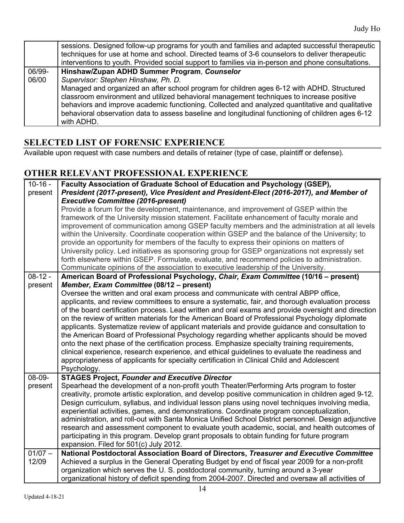|                 | sessions. Designed follow-up programs for youth and families and adapted successful therapeutic<br>techniques for use at home and school. Directed teams of 3-6 counselors to deliver therapeutic<br>interventions to youth. Provided social support to families via in-person and phone consultations.                                                                                                      |
|-----------------|--------------------------------------------------------------------------------------------------------------------------------------------------------------------------------------------------------------------------------------------------------------------------------------------------------------------------------------------------------------------------------------------------------------|
| 06/99-<br>06/00 | Hinshaw/Zupan ADHD Summer Program, Counselor<br>Supervisor: Stephen Hinshaw, Ph. D.                                                                                                                                                                                                                                                                                                                          |
|                 | Managed and organized an after school program for children ages 6-12 with ADHD. Structured<br>classroom environment and utilized behavioral management techniques to increase positive<br>behaviors and improve academic functioning. Collected and analyzed quantitative and qualitative<br>behavioral observation data to assess baseline and longitudinal functioning of children ages 6-12<br>with ADHD. |

# **SELECTED LIST OF FORENSIC EXPERIENCE**

Available upon request with case numbers and details of retainer (type of case, plaintiff or defense).

## **OTHER RELEVANT PROFESSIONAL EXPERIENCE**

| $10 - 16 -$<br>present            | Faculty Association of Graduate School of Education and Psychology (GSEP),<br>President (2017-present), Vice President and President-Elect (2016-2017), and Member of<br><b>Executive Committee (2016-present)</b><br>Provide a forum for the development, maintenance, and improvement of GSEP within the<br>framework of the University mission statement. Facilitate enhancement of faculty morale and<br>improvement of communication among GSEP faculty members and the administration at all levels<br>within the University. Coordinate cooperation within GSEP and the balance of the University; to<br>provide an opportunity for members of the faculty to express their opinions on matters of<br>University policy. Led initiatives as sponsoring group for GSEP organizations not expressly set                                                                                                                                                                                                                                     |
|-----------------------------------|--------------------------------------------------------------------------------------------------------------------------------------------------------------------------------------------------------------------------------------------------------------------------------------------------------------------------------------------------------------------------------------------------------------------------------------------------------------------------------------------------------------------------------------------------------------------------------------------------------------------------------------------------------------------------------------------------------------------------------------------------------------------------------------------------------------------------------------------------------------------------------------------------------------------------------------------------------------------------------------------------------------------------------------------------|
|                                   | forth elsewhere within GSEP. Formulate, evaluate, and recommend policies to administration.<br>Communicate opinions of the association to executive leadership of the University.                                                                                                                                                                                                                                                                                                                                                                                                                                                                                                                                                                                                                                                                                                                                                                                                                                                                |
| $\overline{08} - 12 -$<br>present | American Board of Professional Psychology, Chair, Exam Committee (10/16 - present)<br>Member, Exam Committee (08/12 - present)<br>Oversee the written and oral exam process and communicate with central ABPP office,<br>applicants, and review committees to ensure a systematic, fair, and thorough evaluation process<br>of the board certification process. Lead written and oral exams and provide oversight and direction<br>on the review of written materials for the American Board of Professional Psychology diplomate<br>applicants. Systematize review of applicant materials and provide guidance and consultation to<br>the American Board of Professional Psychology regarding whether applicants should be moved<br>onto the next phase of the certification process. Emphasize specialty training requirements,<br>clinical experience, research experience, and ethical guidelines to evaluate the readiness and<br>appropriateness of applicants for specialty certification in Clinical Child and Adolescent<br>Psychology. |
| 08-09-<br>present                 | <b>STAGES Project, Founder and Executive Director</b><br>Spearhead the development of a non-profit youth Theater/Performing Arts program to foster<br>creativity, promote artistic exploration, and develop positive communication in children aged 9-12.<br>Design curriculum, syllabus, and individual lesson plans using novel techniques involving media,<br>experiential activities, games, and demonstrations. Coordinate program conceptualization,<br>administration, and roll-out with Santa Monica Unified School District personnel. Design adjunctive<br>research and assessment component to evaluate youth academic, social, and health outcomes of<br>participating in this program. Develop grant proposals to obtain funding for future program<br>expansion. Filed for 501(c) July 2012.                                                                                                                                                                                                                                       |
| $01/07 -$<br>12/09                | National Postdoctoral Association Board of Directors, Treasurer and Executive Committee<br>Achieved a surplus in the General Operating Budget by end of fiscal year 2009 for a non-profit<br>organization which serves the U.S. postdoctoral community, turning around a 3-year<br>organizational history of deficit spending from 2004-2007. Directed and oversaw all activities of                                                                                                                                                                                                                                                                                                                                                                                                                                                                                                                                                                                                                                                             |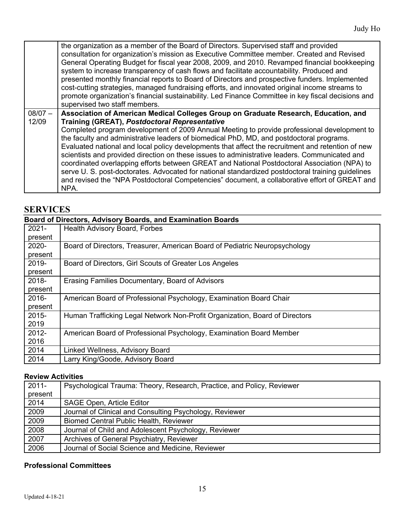$\overline{\phantom{a}}$ 

|           | the organization as a member of the Board of Directors. Supervised staff and provided<br>consultation for organization's mission as Executive Committee member. Created and Revised<br>General Operating Budget for fiscal year 2008, 2009, and 2010. Revamped financial bookkeeping<br>system to increase transparency of cash flows and facilitate accountability. Produced and<br>presented monthly financial reports to Board of Directors and prospective funders. Implemented<br>cost-cutting strategies, managed fundraising efforts, and innovated original income streams to |
|-----------|---------------------------------------------------------------------------------------------------------------------------------------------------------------------------------------------------------------------------------------------------------------------------------------------------------------------------------------------------------------------------------------------------------------------------------------------------------------------------------------------------------------------------------------------------------------------------------------|
|           | promote organization's financial sustainability. Led Finance Committee in key fiscal decisions and<br>supervised two staff members.                                                                                                                                                                                                                                                                                                                                                                                                                                                   |
| $08/07 -$ | Association of American Medical Colleges Group on Graduate Research, Education, and                                                                                                                                                                                                                                                                                                                                                                                                                                                                                                   |
| 12/09     | <b>Training (GREAT), Postdoctoral Representative</b>                                                                                                                                                                                                                                                                                                                                                                                                                                                                                                                                  |
|           | Completed program development of 2009 Annual Meeting to provide professional development to                                                                                                                                                                                                                                                                                                                                                                                                                                                                                           |
|           | the faculty and administrative leaders of biomedical PhD, MD, and postdoctoral programs.                                                                                                                                                                                                                                                                                                                                                                                                                                                                                              |
|           | Evaluated national and local policy developments that affect the recruitment and retention of new<br>scientists and provided direction on these issues to administrative leaders. Communicated and<br>coordinated overlapping efforts between GREAT and National Postdoctoral Association (NPA) to<br>serve U. S. post-doctorates. Advocated for national standardized postdoctoral training guidelines<br>and revised the "NPA Postdoctoral Competencies" document, a collaborative effort of GREAT and<br>NPA.                                                                      |

### **SERVICES**

### **Board of Directors, Advisory Boards, and Examination Boards** 2021- Health Advisory Board, Forbes

| Board of Directors, Treasurer, American Board of Pediatric Neuropsychology  |
|-----------------------------------------------------------------------------|
|                                                                             |
| Board of Directors, Girl Scouts of Greater Los Angeles                      |
|                                                                             |
| Erasing Families Documentary, Board of Advisors                             |
|                                                                             |
| American Board of Professional Psychology, Examination Board Chair          |
|                                                                             |
| Human Trafficking Legal Network Non-Profit Organization, Board of Directors |
|                                                                             |
| American Board of Professional Psychology, Examination Board Member         |
|                                                                             |
| Linked Wellness, Advisory Board                                             |
| Larry King/Goode, Advisory Board                                            |
|                                                                             |

#### **Review Activities**

| $2011 -$ | Psychological Trauma: Theory, Research, Practice, and Policy, Reviewer |
|----------|------------------------------------------------------------------------|
| present  |                                                                        |
| 2014     | <b>SAGE Open, Article Editor</b>                                       |
| 2009     | Journal of Clinical and Consulting Psychology, Reviewer                |
| 2009     | Biomed Central Public Health, Reviewer                                 |
| 2008     | Journal of Child and Adolescent Psychology, Reviewer                   |
| 2007     | Archives of General Psychiatry, Reviewer                               |
| 2006     | Journal of Social Science and Medicine, Reviewer                       |

#### **Professional Committees**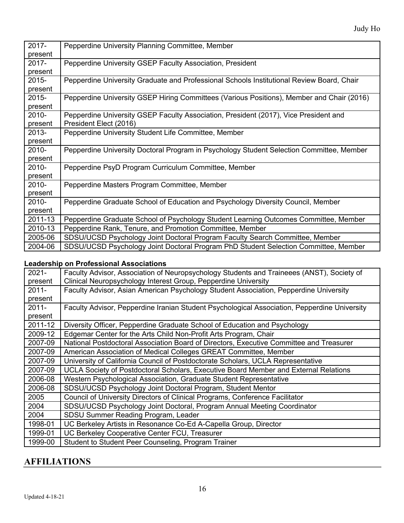| 2017-    | Pepperdine University Planning Committee, Member                                          |
|----------|-------------------------------------------------------------------------------------------|
| present  |                                                                                           |
| $2017 -$ | Pepperdine University GSEP Faculty Association, President                                 |
| present  |                                                                                           |
| $2015 -$ | Pepperdine University Graduate and Professional Schools Institutional Review Board, Chair |
| present  |                                                                                           |
| 2015-    | Pepperdine University GSEP Hiring Committees (Various Positions), Member and Chair (2016) |
| present  |                                                                                           |
| 2010-    | Pepperdine University GSEP Faculty Association, President (2017), Vice President and      |
| present  | President Elect (2016)                                                                    |
| 2013-    | Pepperdine University Student Life Committee, Member                                      |
| present  |                                                                                           |
| $2010 -$ | Pepperdine University Doctoral Program in Psychology Student Selection Committee, Member  |
| present  |                                                                                           |
| $2010 -$ | Pepperdine PsyD Program Curriculum Committee, Member                                      |
| present  |                                                                                           |
| $2010 -$ | Pepperdine Masters Program Committee, Member                                              |
| present  |                                                                                           |
| 2010-    | Pepperdine Graduate School of Education and Psychology Diversity Council, Member          |
| present  |                                                                                           |
| 2011-13  | Pepperdine Graduate School of Psychology Student Learning Outcomes Committee, Member      |
| 2010-13  | Pepperdine Rank, Tenure, and Promotion Committee, Member                                  |
| 2005-06  | SDSU/UCSD Psychology Joint Doctoral Program Faculty Search Committee, Member              |
| 2004-06  | SDSU/UCSD Psychology Joint Doctoral Program PhD Student Selection Committee, Member       |

#### **Leadership on Professional Associations**

| $2021 -$ | Faculty Advisor, Association of Neuropsychology Students and Traineees (ANST), Society of    |
|----------|----------------------------------------------------------------------------------------------|
| present  | Clinical Neuropsychology Interest Group, Pepperdine University                               |
| $2011 -$ | Faculty Advisor, Asian American Psychology Student Association, Pepperdine University        |
| present  |                                                                                              |
| $2011 -$ | Faculty Advisor, Pepperdine Iranian Student Psychological Association, Pepperdine University |
| present  |                                                                                              |
| 2011-12  | Diversity Officer, Pepperdine Graduate School of Education and Psychology                    |
| 2009-12  | Edgemar Center for the Arts Child Non-Profit Arts Program, Chair                             |
| 2007-09  | National Postdoctoral Association Board of Directors, Executive Committee and Treasurer      |
| 2007-09  | American Association of Medical Colleges GREAT Committee, Member                             |
| 2007-09  | University of California Council of Postdoctorate Scholars, UCLA Representative              |
| 2007-09  | UCLA Society of Postdoctoral Scholars, Executive Board Member and External Relations         |
| 2006-08  | Western Psychological Association, Graduate Student Representative                           |
| 2006-08  | SDSU/UCSD Psychology Joint Doctoral Program, Student Mentor                                  |
| 2005     | Council of University Directors of Clinical Programs, Conference Facilitator                 |
| 2004     | SDSU/UCSD Psychology Joint Doctoral, Program Annual Meeting Coordinator                      |
| 2004     | SDSU Summer Reading Program, Leader                                                          |
| 1998-01  | UC Berkeley Artists in Resonance Co-Ed A-Capella Group, Director                             |
| 1999-01  | UC Berkeley Cooperative Center FCU, Treasurer                                                |
| 1999-00  | Student to Student Peer Counseling, Program Trainer                                          |

### **AFFILIATIONS**